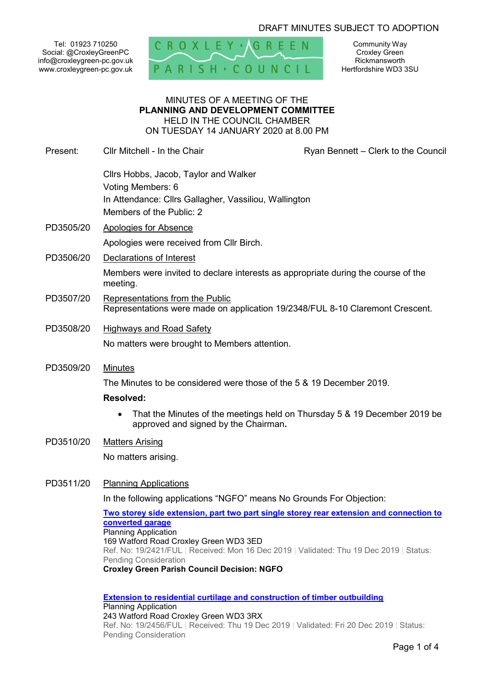# DRAFT MINUTES SUBJECT TO ADOPTION

Tel: 01923 710250 Social: @CroxleyGreenPC info@croxleygreen-pc.gov.uk www.croxleygreen-pc.gov.uk



Community Way Croxley Green Rickmansworth Hertfordshire WD3 3SU

### MINUTES OF A MEETING OF THE **PLANNING AND DEVELOPMENT COMMITTEE** HELD IN THE COUNCIL CHAMBER ON TUESDAY 14 JANUARY 2020 at 8.00 PM

Present: Cllr Mitchell - In the Chair **Ryan Bennett – Clerk to the Council** Cllrs Hobbs, Jacob, Taylor and Walker Voting Members: 6 In Attendance: Cllrs Gallagher, Vassiliou, Wallington Members of the Public: 2 PD3505/20 Apologies for Absence Apologies were received from Cllr Birch. PD3506/20 Declarations of Interest Members were invited to declare interests as appropriate during the course of the

- meeting. PD3507/20 Representations from the Public
	- Representations were made on application 19/2348/FUL 8-10 Claremont Crescent.
- PD3508/20 Highways and Road Safety No matters were brought to Members attention.
- PD3509/20 Minutes

The Minutes to be considered were those of the 5 & 19 December 2019.

## **Resolved:**

- That the Minutes of the meetings held on Thursday 5 & 19 December 2019 be approved and signed by the Chairman**.**
- PD3510/20 Matters Arising

No matters arising.

PD3511/20 Planning Applications

In the following applications "NGFO" means No Grounds For Objection:

**Two storey side extension, part two part single storey rear extension and connection to converted garage** Planning Application 169 Watford Road Croxley Green WD3 3ED Ref. No: 19/2421/FUL | Received: Mon 16 Dec 2019 | Validated: Thu 19 Dec 2019 | Status: Pending Consideration **Croxley Green Parish Council Decision: NGFO** 

**Extension to residential curtilage and construction of timber outbuilding** Planning Application 243 Watford Road Croxley Green WD3 3RX Ref. No: 19/2456/FUL | Received: Thu 19 Dec 2019 | Validated: Fri 20 Dec 2019 | Status: Pending Consideration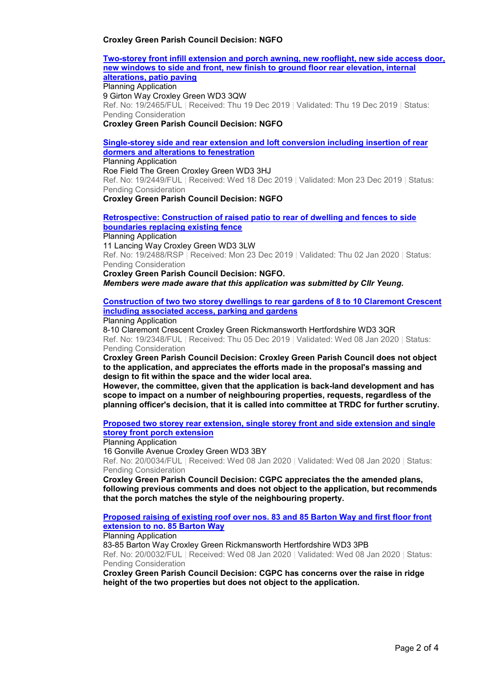#### **Croxley Green Parish Council Decision: NGFO**

**Two-storey front infill extension and porch awning, new rooflight, new side access door, new windows to side and front, new finish to ground floor rear elevation, internal alterations, patio paving**

Planning Application 9 Girton Way Croxley Green WD3 3QW Ref. No: 19/2465/FUL | Received: Thu 19 Dec 2019 | Validated: Thu 19 Dec 2019 | Status: Pending Consideration

**Croxley Green Parish Council Decision: NGFO** 

## **Single-storey side and rear extension and loft conversion including insertion of rear dormers and alterations to fenestration**

Planning Application Roe Field The Green Croxley Green WD3 3HJ Ref. No: 19/2449/FUL | Received: Wed 18 Dec 2019 | Validated: Mon 23 Dec 2019 | Status: Pending Consideration

**Croxley Green Parish Council Decision: NGFO** 

#### **Retrospective: Construction of raised patio to rear of dwelling and fences to side boundaries replacing existing fence** Planning Application

11 Lancing Way Croxley Green WD3 3LW Ref. No: 19/2488/RSP | Received: Mon 23 Dec 2019 | Validated: Thu 02 Jan 2020 | Status: Pending Consideration

**Croxley Green Parish Council Decision: NGFO.** 

*Members were made aware that this application was submitted by Cllr Yeung.* 

**Construction of two two storey dwellings to rear gardens of 8 to 10 Claremont Crescent including associated access, parking and gardens**

Planning Application

8-10 Claremont Crescent Croxley Green Rickmansworth Hertfordshire WD3 3QR Ref. No: 19/2348/FUL | Received: Thu 05 Dec 2019 | Validated: Wed 08 Jan 2020 | Status: Pending Consideration

**Croxley Green Parish Council Decision: Croxley Green Parish Council does not object to the application, and appreciates the efforts made in the proposal's massing and design to fit within the space and the wider local area.** 

**However, the committee, given that the application is back-land development and has scope to impact on a number of neighbouring properties, requests, regardless of the planning officer's decision, that it is called into committee at TRDC for further scrutiny.** 

**Proposed two storey rear extension, single storey front and side extension and single storey front porch extension**

Planning Application

16 Gonville Avenue Croxley Green WD3 3BY Ref. No: 20/0034/FUL | Received: Wed 08 Jan 2020 | Validated: Wed 08 Jan 2020 | Status: Pending Consideration

**Croxley Green Parish Council Decision: CGPC appreciates the the amended plans, following previous comments and does not object to the application, but recommends that the porch matches the style of the neighbouring property.** 

**Proposed raising of existing roof over nos. 83 and 85 Barton Way and first floor front extension to no. 85 Barton Way**

Planning Application

83-85 Barton Way Croxley Green Rickmansworth Hertfordshire WD3 3PB

Ref. No: 20/0032/FUL | Received: Wed 08 Jan 2020 | Validated: Wed 08 Jan 2020 | Status: Pending Consideration

**Croxley Green Parish Council Decision: CGPC has concerns over the raise in ridge height of the two properties but does not object to the application.**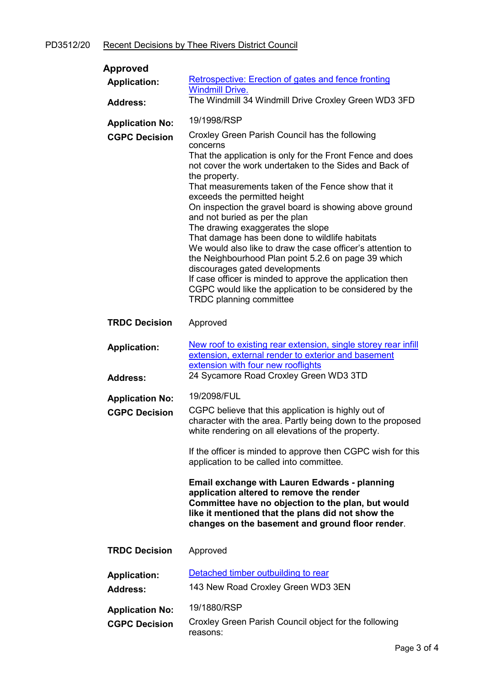| Approved                                       |                                                                                                                                                                                                                                                                                                                                                                                                                                                                                                                                                                                                                                                                                                                                                                                             |
|------------------------------------------------|---------------------------------------------------------------------------------------------------------------------------------------------------------------------------------------------------------------------------------------------------------------------------------------------------------------------------------------------------------------------------------------------------------------------------------------------------------------------------------------------------------------------------------------------------------------------------------------------------------------------------------------------------------------------------------------------------------------------------------------------------------------------------------------------|
| <b>Application:</b>                            | Retrospective: Erection of gates and fence fronting<br><b>Windmill Drive.</b>                                                                                                                                                                                                                                                                                                                                                                                                                                                                                                                                                                                                                                                                                                               |
| <b>Address:</b>                                | The Windmill 34 Windmill Drive Croxley Green WD3 3FD                                                                                                                                                                                                                                                                                                                                                                                                                                                                                                                                                                                                                                                                                                                                        |
| <b>Application No:</b>                         | 19/1998/RSP                                                                                                                                                                                                                                                                                                                                                                                                                                                                                                                                                                                                                                                                                                                                                                                 |
| <b>CGPC Decision</b>                           | Croxley Green Parish Council has the following<br>concerns<br>That the application is only for the Front Fence and does<br>not cover the work undertaken to the Sides and Back of<br>the property.<br>That measurements taken of the Fence show that it<br>exceeds the permitted height<br>On inspection the gravel board is showing above ground<br>and not buried as per the plan<br>The drawing exaggerates the slope<br>That damage has been done to wildlife habitats<br>We would also like to draw the case officer's attention to<br>the Neighbourhood Plan point 5.2.6 on page 39 which<br>discourages gated developments<br>If case officer is minded to approve the application then<br>CGPC would like the application to be considered by the<br><b>TRDC</b> planning committee |
| <b>TRDC Decision</b>                           | Approved                                                                                                                                                                                                                                                                                                                                                                                                                                                                                                                                                                                                                                                                                                                                                                                    |
| <b>Application:</b><br><b>Address:</b>         | New roof to existing rear extension, single storey rear infill<br>extension, external render to exterior and basement<br>extension with four new rooflights<br>24 Sycamore Road Croxley Green WD3 3TD                                                                                                                                                                                                                                                                                                                                                                                                                                                                                                                                                                                       |
|                                                | 19/2098/FUL                                                                                                                                                                                                                                                                                                                                                                                                                                                                                                                                                                                                                                                                                                                                                                                 |
| <b>Application No:</b><br><b>CGPC Decision</b> | CGPC believe that this application is highly out of<br>character with the area. Partly being down to the proposed<br>white rendering on all elevations of the property.<br>If the officer is minded to approve then CGPC wish for this                                                                                                                                                                                                                                                                                                                                                                                                                                                                                                                                                      |
|                                                | application to be called into committee.                                                                                                                                                                                                                                                                                                                                                                                                                                                                                                                                                                                                                                                                                                                                                    |
|                                                | <b>Email exchange with Lauren Edwards - planning</b><br>application altered to remove the render<br>Committee have no objection to the plan, but would<br>like it mentioned that the plans did not show the<br>changes on the basement and ground floor render.                                                                                                                                                                                                                                                                                                                                                                                                                                                                                                                             |
| <b>TRDC Decision</b>                           | Approved                                                                                                                                                                                                                                                                                                                                                                                                                                                                                                                                                                                                                                                                                                                                                                                    |
| <b>Application:</b><br><b>Address:</b>         | Detached timber outbuilding to rear<br>143 New Road Croxley Green WD3 3EN                                                                                                                                                                                                                                                                                                                                                                                                                                                                                                                                                                                                                                                                                                                   |
| <b>Application No:</b>                         | 19/1880/RSP                                                                                                                                                                                                                                                                                                                                                                                                                                                                                                                                                                                                                                                                                                                                                                                 |
| <b>CGPC Decision</b>                           | Croxley Green Parish Council object for the following<br>reasons:                                                                                                                                                                                                                                                                                                                                                                                                                                                                                                                                                                                                                                                                                                                           |